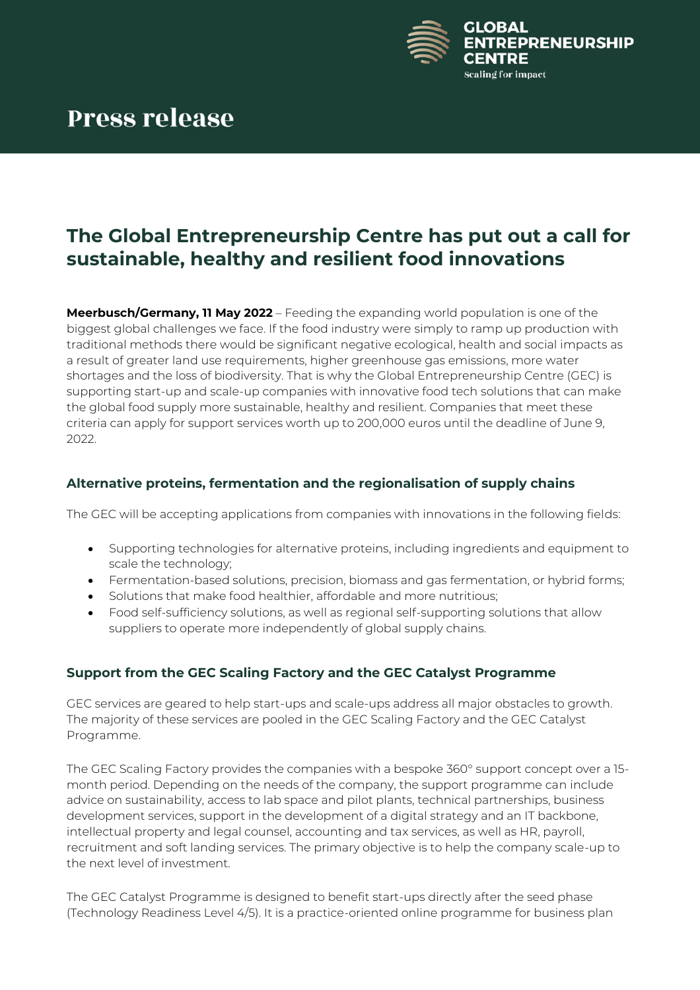

## **The Global Entrepreneurship Centre has put out a call for sustainable, healthy and resilient food innovations**

**Meerbusch/Germany, 11 May 2022** – Feeding the expanding world population is one of the biggest global challenges we face. If the food industry were simply to ramp up production with traditional methods there would be significant negative ecological, health and social impacts as a result of greater land use requirements, higher greenhouse gas emissions, more water shortages and the loss of biodiversity. That is why the Global Entrepreneurship Centre (GEC) is supporting start-up and scale-up companies with innovative food tech solutions that can make the global food supply more sustainable, healthy and resilient. Companies that meet these criteria can apply for support services worth up to 200,000 euros until the deadline of June 9, 2022.

## **Alternative proteins, fermentation and the regionalisation of supply chains**

The GEC will be accepting applications from companies with innovations in the following fields:

- Supporting technologies for alternative proteins, including ingredients and equipment to scale the technology;
- Fermentation-based solutions, precision, biomass and gas fermentation, or hybrid forms;
- Solutions that make food healthier, affordable and more nutritious;
- Food self-sufficiency solutions, as well as regional self-supporting solutions that allow suppliers to operate more independently of global supply chains.

## **Support from the GEC Scaling Factory and the GEC Catalyst Programme**

GEC services are geared to help start-ups and scale-ups address all major obstacles to growth. The majority of these services are pooled in the GEC Scaling Factory and the GEC Catalyst Programme.

The GEC Scaling Factory provides the companies with a bespoke 360° support concept over a 15 month period. Depending on the needs of the company, the support programme can include advice on sustainability, access to lab space and pilot plants, technical partnerships, business development services, support in the development of a digital strategy and an IT backbone, intellectual property and legal counsel, accounting and tax services, as well as HR, payroll, recruitment and soft landing services. The primary objective is to help the company scale-up to the next level of investment.

The GEC Catalyst Programme is designed to benefit start-ups directly after the seed phase (Technology Readiness Level 4/5). It is a practice-oriented online programme for business plan